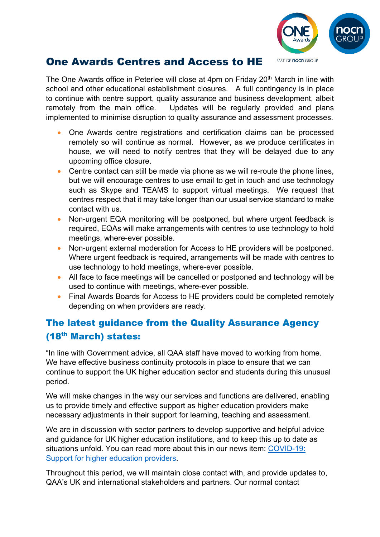

## One Awards Centres and Access to HE

The One Awards office in Peterlee will close at 4pm on Friday 20<sup>th</sup> March in line with school and other educational establishment closures. A full contingency is in place to continue with centre support, quality assurance and business development, albeit remotely from the main office. Updates will be regularly provided and plans implemented to minimise disruption to quality assurance and assessment processes.

- One Awards centre registrations and certification claims can be processed remotely so will continue as normal. However, as we produce certificates in house, we will need to notify centres that they will be delayed due to any upcoming office closure.
- Centre contact can still be made via phone as we will re-route the phone lines, but we will encourage centres to use email to get in touch and use technology such as Skype and TEAMS to support virtual meetings. We request that centres respect that it may take longer than our usual service standard to make contact with us.
- Non-urgent EQA monitoring will be postponed, but where urgent feedback is required, EQAs will make arrangements with centres to use technology to hold meetings, where-ever possible.
- Non-urgent external moderation for Access to HE providers will be postponed. Where urgent feedback is required, arrangements will be made with centres to use technology to hold meetings, where-ever possible.
- All face to face meetings will be cancelled or postponed and technology will be used to continue with meetings, where-ever possible.
- Final Awards Boards for Access to HE providers could be completed remotely depending on when providers are ready.

## The latest guidance from the Quality Assurance Agency (18th March) states:

"In line with Government advice, all QAA staff have moved to working from home. We have effective business continuity protocols in place to ensure that we can continue to support the UK higher education sector and students during this unusual period.

We will make changes in the way our services and functions are delivered, enabling us to provide timely and effective support as higher education providers make necessary adjustments in their support for learning, teaching and assessment.

We are in discussion with sector partners to develop supportive and helpful advice and guidance for UK higher education institutions, and to keep this up to date as situations unfold. You can read more about this in our news item: [COVID-19:](http://www.qaa.ac.uk/news-events/news/qaa-covid-19-update)  [Support for higher education providers.](http://www.qaa.ac.uk/news-events/news/qaa-covid-19-update)

Throughout this period, we will maintain close contact with, and provide updates to, QAA's UK and international stakeholders and partners. Our normal contact